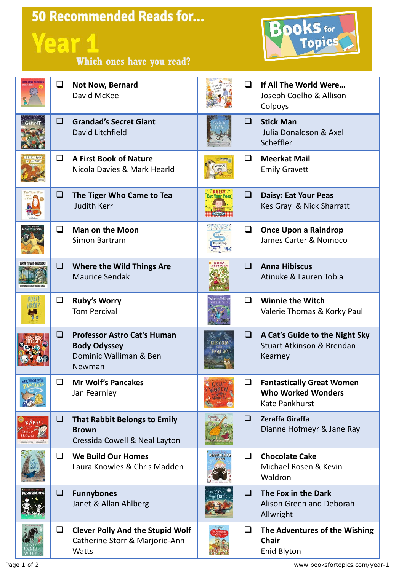## 50 Recommended Reads for... **Year 1 Which ones have you read?**



| Q      | Not Now, Bernard<br>David McKee                                                               |                  | ◻      | If All The World Were<br>Joseph Coelho & Allison<br>Colpoys                       |
|--------|-----------------------------------------------------------------------------------------------|------------------|--------|-----------------------------------------------------------------------------------|
| ❏      | <b>Grandad's Secret Giant</b><br>David Litchfield                                             |                  | ❏      | <b>Stick Man</b><br>Julia Donaldson & Axel<br>Scheffler                           |
| ◻      | <b>A First Book of Nature</b><br>Nicola Davies & Mark Hearld                                  |                  | ◻      | <b>Meerkat Mail</b><br><b>Emily Gravett</b>                                       |
| Q.     | The Tiger Who Came to Tea<br><b>Judith Kerr</b>                                               |                  | ❏      | <b>Daisy: Eat Your Peas</b><br>Kes Gray & Nick Sharratt                           |
| Q      | <b>Man on the Moon</b><br>Simon Bartram                                                       |                  | $\Box$ | <b>Once Upon a Raindrop</b><br>James Carter & Nomoco                              |
| ❏      | <b>Where the Wild Things Are</b><br><b>Maurice Sendak</b>                                     |                  | □      | <b>Anna Hibiscus</b><br>Atinuke & Lauren Tobia                                    |
| $\Box$ | <b>Ruby's Worry</b><br><b>Tom Percival</b>                                                    |                  | □      | <b>Winnie the Witch</b><br>Valerie Thomas & Korky Paul                            |
| o.     | <b>Professor Astro Cat's Human</b><br><b>Body Odyssey</b><br>Dominic Walliman & Ben<br>Newman |                  | O      | A Cat's Guide to the Night Sky<br><b>Stuart Atkinson &amp; Brendan</b><br>Kearney |
| ❏      | <b>Mr Wolf's Pancakes</b><br>Jan Fearnley                                                     |                  | ❏      | <b>Fantastically Great Women</b><br><b>Who Worked Wonders</b><br>Kate Pankhurst   |
| Q      | <b>That Rabbit Belongs to Emily</b><br><b>Brown</b><br>Cressida Cowell & Neal Layton          | Zeraffi<br>Giral | ❏      | Zeraffa Giraffa<br>Dianne Hofmeyr & Jane Ray                                      |
| ◻      | <b>We Build Our Homes</b><br>Laura Knowles & Chris Madden                                     | <b>GHOCOLATI</b> | Q      | <b>Chocolate Cake</b><br>Michael Rosen & Kevin<br>Waldron                         |
| Q.     | <b>Funnybones</b><br>Janet & Allan Ahlberg                                                    |                  | ❏      | The Fox in the Dark<br>Alison Green and Deborah<br>Allwright                      |
| O      | <b>Clever Polly And the Stupid Wolf</b><br>Catherine Storr & Marjorie-Ann<br><b>Watts</b>     |                  | ❏      | The Adventures of the Wishing<br><b>Chair</b><br><b>Enid Blyton</b>               |